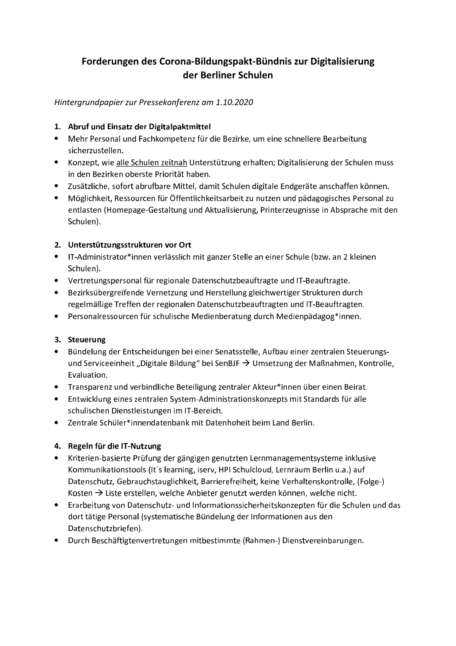# Forderungen des Corona-Bildungspakt-Bündnis zur Digitalisierung der Berliner Schulen

### Hintergrundpapier zur Pressekonferenz am 1.10.2020

#### 1. Abruf und Einsatz der Digitalpaktmittel

- Mehr Personal und Fachkompetenz für die Bezirke, um eine schnellere Bearbeitung sicherzustellen.
- Konzept, wie alle Schulen zeitnah Unterstützung erhalten; Digitalisierung der Schulen muss in den Bezirken oberste Priorität haben.
- Zusätzliche, sofort abrufbare Mittel, damit Schulen digitale Endgeräte anschaffen können.
- Möglichkeit, Ressourcen für Öffentlichkeitsarbeit zu nutzen und pädagogisches Personal zu entlasten (Homepage-Gestaltung und Aktualisierung, Printerzeugnisse in Absprache mit den Schulen).

#### 2. Unterstützungsstrukturen vor Ort

- IT-Administrator\*innen verlässlich mit ganzer Stelle an einer Schule (bzw. an 2 kleinen Schulen).
- Vertretungspersonal für regionale Datenschutzbeauftragte und IT-Beauftragte.
- Bezirksübergreifende Vernetzung und Herstellung gleichwertiger Strukturen durch regelmäßige Treffen der regionalen Datenschutzbeauftragten und IT-Beauftragten.
- Personalressourcen für schulische Medienberatung durch Medienpädagog\*innen.

### 3. Steuerung

- Bündelung der Entscheidungen bei einer Senatsstelle, Aufbau einer zentralen Steuerungsund Serviceeinheit "Digitale Bildung" bei SenBJF  $\rightarrow$  Umsetzung der Maßnahmen, Kontrolle, Evaluation.
- Transparenz und verbindliche Beteiligung zentraler Akteur\*innen über einen Beirat.
- Entwicklung eines zentralen System-Administrationskonzepts mit Standards für alle schulischen Dienstleistungen im IT-Bereich.
- Zentrale Schüler\*innendatenbank mit Datenhoheit beim Land Berlin.

### 4. Regeln für die IT-Nutzung

- Kriterien-basierte Prüfung der gängigen genutzten Lernmanagementsysteme inklusive Kommunikationstools (It's learning, iserv, HPI Schulcloud, Lernraum Berlin u.a.) auf Datenschutz, Gebrauchstauglichkeit, Barrierefreiheit, keine Verhaltenskontrolle, (Folge-) Kosten  $\rightarrow$  Liste erstellen, welche Anbieter genutzt werden können, welche nicht.
- Erarbeitung von Datenschutz- und Informationssicherheitskonzepten für die Schulen und das dort tätige Personal (systematische Bündelung der Informationen aus den Datenschutzbriefen).
- Durch Beschäftigtenvertretungen mitbestimmte (Rahmen-) Dienstvereinbarungen.